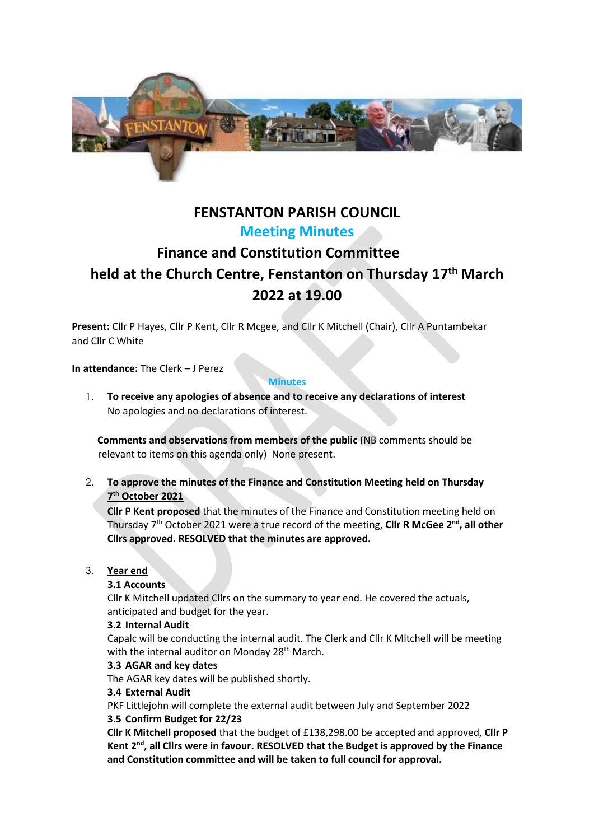

# **FENSTANTON PARISH COUNCIL Meeting Minutes**

# **Finance and Constitution Committee held at the Church Centre, Fenstanton on Thursday 17th March 2022 at 19.00**

**Present:** Cllr P Hayes, Cllr P Kent, Cllr R Mcgee, and Cllr K Mitchell (Chair), Cllr A Puntambekar and Cllr C White

**In attendance:** The Clerk – J Perez

#### **Minutes**

1. **To receive any apologies of absence and to receive any declarations of interest**  No apologies and no declarations of interest.

**Comments and observations from members of the public** (NB comments should be relevant to items on this agenda only) None present.

# 2. **To approve the minutes of the Finance and Constitution Meeting held on Thursday 7 th October 2021**

**Cllr P Kent proposed** that the minutes of the Finance and Constitution meeting held on Thursday 7<sup>th</sup> October 2021 were a true record of the meeting, Cllr R McGee 2<sup>nd</sup>, all other **Cllrs approved. RESOLVED that the minutes are approved.**

# 3. **Year end**

# **3.1 Accounts**

Cllr K Mitchell updated Cllrs on the summary to year end. He covered the actuals, anticipated and budget for the year.

# **3.2 Internal Audit**

Capalc will be conducting the internal audit. The Clerk and Cllr K Mitchell will be meeting with the internal auditor on Monday 28<sup>th</sup> March.

# **3.3 AGAR and key dates**

The AGAR key dates will be published shortly.

# **3.4 External Audit**

PKF Littlejohn will complete the external audit between July and September 2022

# **3.5 Confirm Budget for 22/23**

**Cllr K Mitchell proposed** that the budget of £138,298.00 be accepted and approved, **Cllr P Kent 2nd, all Cllrs were in favour. RESOLVED that the Budget is approved by the Finance and Constitution committee and will be taken to full council for approval.**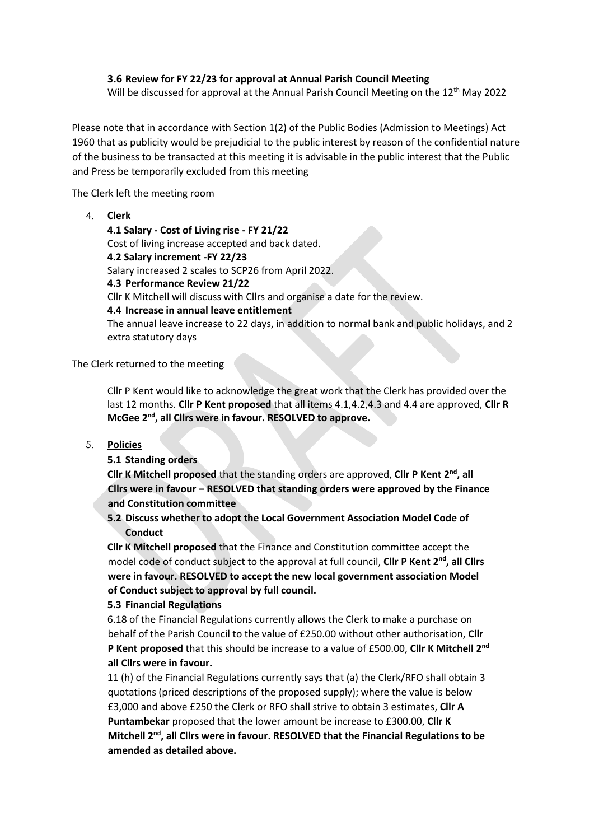### **3.6 Review for FY 22/23 for approval at Annual Parish Council Meeting**

Will be discussed for approval at the Annual Parish Council Meeting on the 12<sup>th</sup> May 2022

Please note that in accordance with Section 1(2) of the Public Bodies (Admission to Meetings) Act 1960 that as publicity would be prejudicial to the public interest by reason of the confidential nature of the business to be transacted at this meeting it is advisable in the public interest that the Public and Press be temporarily excluded from this meeting

The Clerk left the meeting room

4. **Clerk**

**4.1 Salary - Cost of Living rise - FY 21/22** Cost of living increase accepted and back dated. **4.2 Salary increment -FY 22/23** Salary increased 2 scales to SCP26 from April 2022. **4.3 Performance Review 21/22** Cllr K Mitchell will discuss with Cllrs and organise a date for the review. **4.4 Increase in annual leave entitlement** The annual leave increase to 22 days, in addition to normal bank and public holidays, and 2 extra statutory days

The Clerk returned to the meeting

Cllr P Kent would like to acknowledge the great work that the Clerk has provided over the last 12 months. **Cllr P Kent proposed** that all items 4.1,4.2,4.3 and 4.4 are approved, **Cllr R McGee 2nd, all Cllrs were in favour. RESOLVED to approve.**

5. **Policies**

**5.1 Standing orders**

**Cllr K Mitchell proposed** that the standing orders are approved, **Cllr P Kent 2nd, all Cllrs were in favour – RESOLVED that standing orders were approved by the Finance and Constitution committee**

# **5.2 Discuss whether to adopt the Local Government Association Model Code of Conduct**

**Cllr K Mitchell proposed** that the Finance and Constitution committee accept the model code of conduct subject to the approval at full council, **Cllr P Kent 2nd, all Cllrs were in favour. RESOLVED to accept the new local government association Model of Conduct subject to approval by full council.**

#### **5.3 Financial Regulations**

6.18 of the Financial Regulations currently allows the Clerk to make a purchase on behalf of the Parish Council to the value of £250.00 without other authorisation, **Cllr P Kent proposed** that this should be increase to a value of £500.00, **Cllr K Mitchell 2nd all Cllrs were in favour.**

11 (h) of the Financial Regulations currently says that (a) the Clerk/RFO shall obtain 3 quotations (priced descriptions of the proposed supply); where the value is below £3,000 and above £250 the Clerk or RFO shall strive to obtain 3 estimates, **Cllr A Puntambekar** proposed that the lower amount be increase to £300.00, **Cllr K Mitchell 2nd, all Cllrs were in favour. RESOLVED that the Financial Regulations to be amended as detailed above.**